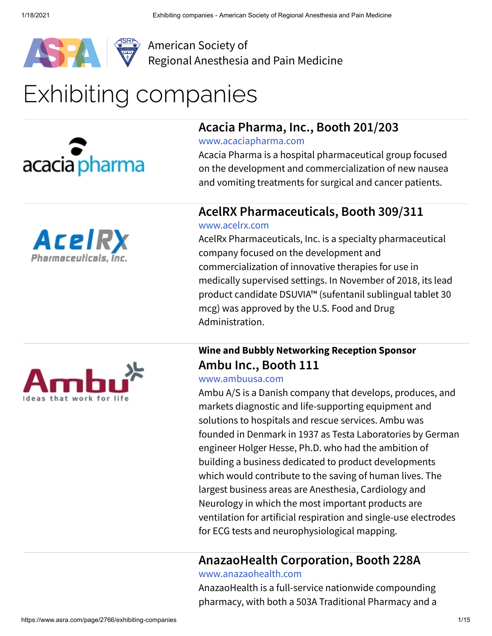

1/18/2021 Exhibiting companies - American Society of Regional Anesthesia and Pain Medicine



[Regional Anesthesia and Pain Medicine](https://www.asra.com/)

## Exhibiting companies







#### **Acacia Pharma, Inc., Booth 201/203**

[www.acaciapharma.com](http://www.acaciapharma.com/)

Acacia Pharma is a hospital pharmaceutical group focused on the development and commercialization of new nausea and vomiting treatments for surgical and cancer patients.

#### **AcelRX Pharmaceuticals, Booth 309/311**

#### [www.acelrx.com](http://www.acelrx.com/)

AcelRx Pharmaceuticals, Inc. is a specialty pharmaceutical company focused on the development and commercialization of innovative therapies for use in medically supervised settings. In November of 2018, its lead product candidate DSUVIA™ (sufentanil sublingual tablet 30 mcg) was approved by the U.S. Food and Drug Administration.

#### **Wine and Bubbly Networking Reception Sponsor Ambu Inc., Booth 111**

#### [www.ambuusa.com](http://www.ambuusa.com/)

Ambu A/S is a Danish company that develops, produces, and markets diagnostic and life-supporting equipment and solutions to hospitals and rescue services. Ambu was founded in Denmark in 1937 as Testa Laboratories by German engineer Holger Hesse, Ph.D. who had the ambition of building a business dedicated to product developments which would contribute to the saving of human lives. The largest business areas are Anesthesia, Cardiology and Neurology in which the most important products are ventilation for artificial respiration and single-use electrodes for ECG tests and neurophysiological mapping.

#### **AnazaoHealth Corporation, Booth 228A**

#### [www.anazaohealth.com](http://www.anazaohealth.com/)

AnazaoHealth is a full-service nationwide compounding pharmacy, with both a 503A Traditional Pharmacy and a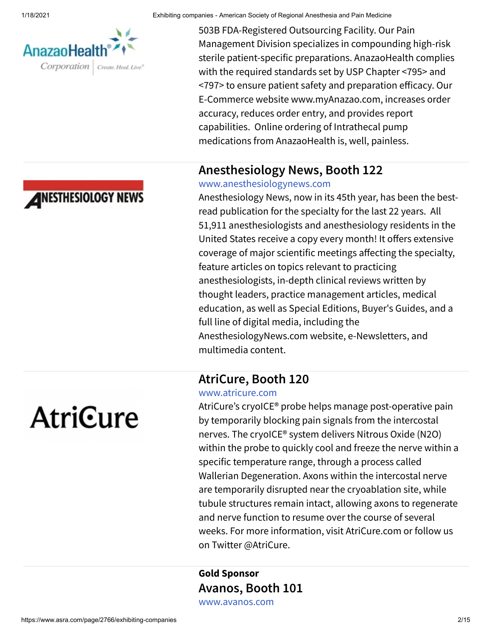

**ANESTHESIOLOGY NEWS** 

1/18/2021 Exhibiting companies - American Society of Regional Anesthesia and Pain Medicine

503B FDA-Registered Outsourcing Facility. Our Pain Management Division specializes in compounding high-risk sterile patient-specific preparations. AnazaoHealth complies with the required standards set by USP Chapter <795> and <797> to ensure patient safety and preparation efficacy. Our E-Commerce website www.myAnazao.com, increases order accuracy, reduces order entry, and provides report capabilities. Online ordering of Intrathecal pump medications from AnazaoHealth is, well, painless.

#### **Anesthesiology News, Booth 122**

#### [www.anesthesiologynews.com](http://www.anesthesiologynews.com/)

Anesthesiology News, now in its 45th year, has been the bestread publication for the specialty for the last 22 years. All 51,911 anesthesiologists and anesthesiology residents in the United States receive a copy every month! It offers extensive coverage of major scientific meetings affecting the specialty, feature articles on topics relevant to practicing anesthesiologists, in-depth clinical reviews written by thought leaders, practice management articles, medical education, as well as Special Editions, Buyer's Guides, and a full line of digital media, including the AnesthesiologyNews.com website, e-Newsletters, and multimedia content.

#### **AtriCure, Booth 120**

#### [www.atricure.com](http://www.atricure.com/)

AtriCure's cryoICE® probe helps manage post-operative pain by temporarily blocking pain signals from the intercostal nerves. The cryoICE® system delivers Nitrous Oxide (N2O) within the probe to quickly cool and freeze the nerve within a specific temperature range, through a process called Wallerian Degeneration. Axons within the intercostal nerve are temporarily disrupted near the cryoablation site, while tubule structures remain intact, allowing axons to regenerate and nerve function to resume over the course of several weeks. For more information, visit AtriCure.com or follow us on Twitter @AtriCure.

**Gold Sponsor Avanos, Booth 101** [www.avanos.com](http://www.avanos.com/)

**AtriCure**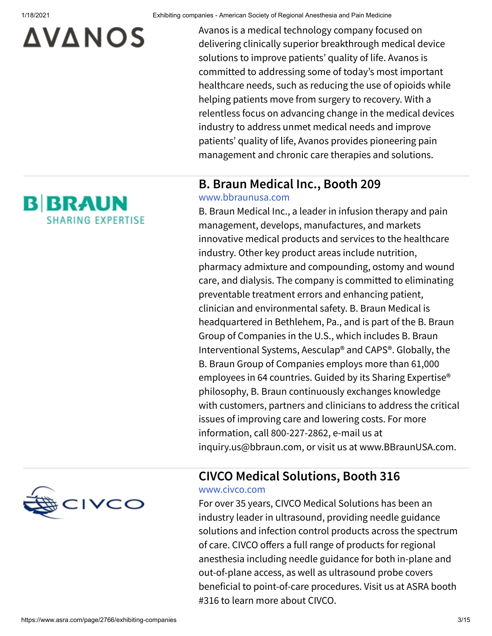## **AVANOS**

**B BRAUN** 

**SHARING EXPERTISE** 

1/18/2021 Exhibiting companies - American Society of Regional Anesthesia and Pain Medicine

Avanos is a medical technology company focused on delivering clinically superior breakthrough medical device solutions to improve patients' quality of life. Avanos is committed to addressing some of today's most important healthcare needs, such as reducing the use of opioids while helping patients move from surgery to recovery. With a relentless focus on advancing change in the medical devices industry to address unmet medical needs and improve patients' quality of life, Avanos provides pioneering pain management and chronic care therapies and solutions.

#### **B. Braun Medical Inc., Booth 209**

#### [www.bbraunusa.com](http://www.bbraunusa.com/)

B. Braun Medical Inc., a leader in infusion therapy and pain management, develops, manufactures, and markets innovative medical products and services to the healthcare industry. Other key product areas include nutrition, pharmacy admixture and compounding, ostomy and wound care, and dialysis. The company is committed to eliminating preventable treatment errors and enhancing patient, clinician and environmental safety. B. Braun Medical is headquartered in Bethlehem, Pa., and is part of the B. Braun Group of Companies in the U.S., which includes B. Braun Interventional Systems, Aesculap® and CAPS®. Globally, the B. Braun Group of Companies employs more than 61,000 employees in 64 countries. Guided by its Sharing Expertise® philosophy, B. Braun continuously exchanges knowledge with customers, partners and clinicians to address the critical issues of improving care and lowering costs. For more information, call 800-227-2862, e-mail us at inquiry.us@bbraun.com, or visit us at www.BBraunUSA.com.



#### **CIVCO Medical Solutions, Booth 316**

#### [www.civco.com](http://www.civco.com/)

For over 35 years, CIVCO Medical Solutions has been an industry leader in ultrasound, providing needle guidance solutions and infection control products across the spectrum of care. CIVCO offers a full range of products for regional anesthesia including needle guidance for both in-plane and out-of-plane access, as well as ultrasound probe covers beneficial to point-of-care procedures. Visit us at ASRA booth #316 to learn more about CIVCO.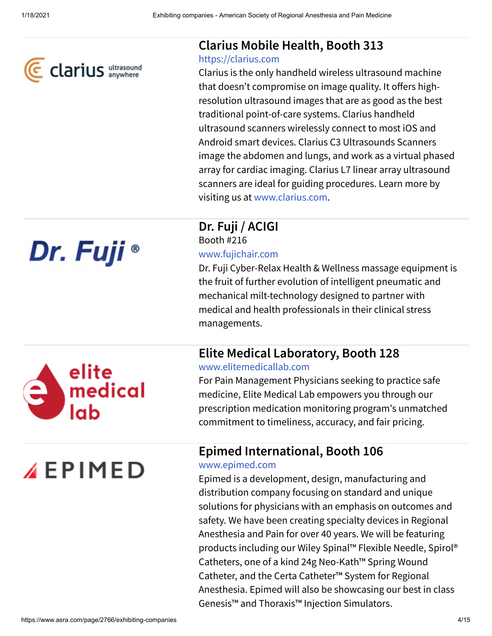

#### **Clarius Mobile Health, Booth 313**

#### [https://clarius.com](https://clarius.com/)

Clarius is the only handheld wireless ultrasound machine that doesn't compromise on image quality. It offers highresolution ultrasound images that are as good as the best traditional point-of-care systems. Clarius handheld ultrasound scanners wirelessly connect to most iOS and Android smart devices. Clarius C3 Ultrasounds Scanners image the abdomen and lungs, and work as a virtual phased array for cardiac imaging. Clarius L7 linear array ultrasound scanners are ideal for guiding procedures. Learn more by visiting us at [www.clarius.com.](http://www.clarius.com/)

**Dr. Fuji / ACIGI** Booth #216 [www.fujichair.com](http://www.fujichair.com/)

Dr. Fuji Cyber-Relax Health & Wellness massage equipment is the fruit of further evolution of intelligent pneumatic and mechanical milt-technology designed to partner with medical and health professionals in their clinical stress managements.

#### **Elite Medical Laboratory, Booth 128**

[www.elitemedicallab.com](http://www.elitemedicallab.com/)

For Pain Management Physicians seeking to practice safe medicine, Elite Medical Lab empowers you through our prescription medication monitoring program's unmatched commitment to timeliness, accuracy, and fair pricing.

#### **Epimed International, Booth 106**

[www.epimed.com](http://www.epimed.com/)

Epimed is a development, design, manufacturing and distribution company focusing on standard and unique solutions for physicians with an emphasis on outcomes and safety. We have been creating specialty devices in Regional Anesthesia and Pain for over 40 years. We will be featuring products including our Wiley Spinal™ Flexible Needle, Spirol® Catheters, one of a kind 24g Neo-Kath™ Spring Wound Catheter, and the Certa Catheter™ System for Regional Anesthesia. Epimed will also be showcasing our best in class Genesis™ and Thoraxis™ Injection Simulators.

## Dr. Fuji ®



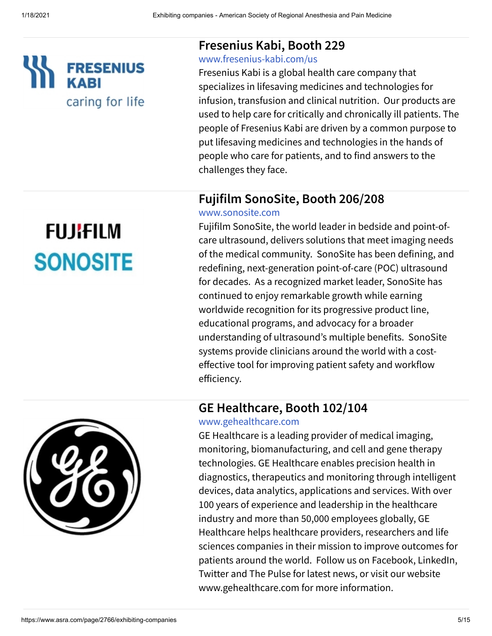

#### **Fresenius Kabi, Booth 229**

#### [www.fresenius-kabi.com/us](http://www.fresenius-kabi.com/us)

Fresenius Kabi is a global health care company that specializes in lifesaving medicines and technologies for infusion, transfusion and clinical nutrition. Our products are used to help care for critically and chronically ill patients. The people of Fresenius Kabi are driven by a common purpose to put lifesaving medicines and technologies in the hands of people who care for patients, and to find answers to the challenges they face.

#### **Fujifilm SonoSite, Booth 206/208**

#### [www.sonosite.com](http://www.sonosite.com/)

Fujifilm SonoSite, the world leader in bedside and point-ofcare ultrasound, delivers solutions that meet imaging needs of the medical community. SonoSite has been defining, and redefining, next-generation point-of-care (POC) ultrasound for decades. As a recognized market leader, SonoSite has continued to enjoy remarkable growth while earning worldwide recognition for its progressive product line, educational programs, and advocacy for a broader understanding of ultrasound's multiple benefits. SonoSite systems provide clinicians around the world with a costeffective tool for improving patient safety and workflow efficiency.





#### [www.gehealthcare.com](http://www.gehealthcare.com/)

GE Healthcare is a leading provider of medical imaging, monitoring, biomanufacturing, and cell and gene therapy technologies. GE Healthcare enables precision health in diagnostics, therapeutics and monitoring through intelligent devices, data analytics, applications and services. With over 100 years of experience and leadership in the healthcare industry and more than 50,000 employees globally, GE Healthcare helps healthcare providers, researchers and life sciences companies in their mission to improve outcomes for patients around the world. Follow us on Facebook, LinkedIn, Twitter and The Pulse for latest news, or visit our website www.gehealthcare.com for more information.

## **FUJIFILM SONOSITE**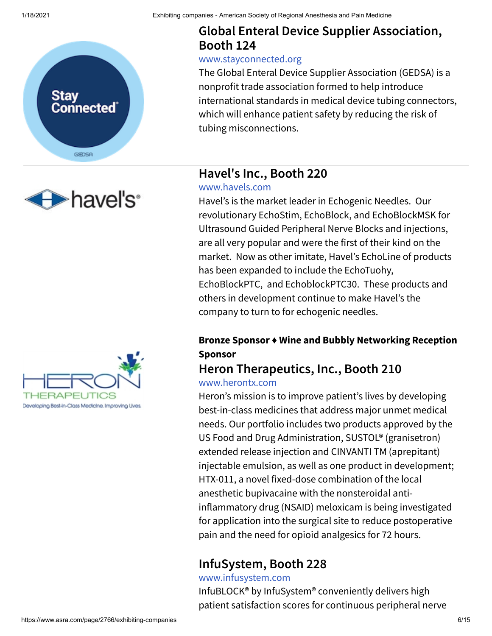



#### **Global Enteral Device Supplier Association, Booth 124**

#### [www.stayconnected.org](http://www.stayconnected.org/)

The Global Enteral Device Supplier Association (GEDSA) is a nonprofit trade association formed to help introduce international standards in medical device tubing connectors, which will enhance patient safety by reducing the risk of tubing misconnections.

#### **Havel's Inc., Booth 220**

#### [www.havels.com](http://www.havels.com/)

Havel's is the market leader in Echogenic Needles. Our revolutionary EchoStim, EchoBlock, and EchoBlockMSK for Ultrasound Guided Peripheral Nerve Blocks and injections, are all very popular and were the first of their kind on the market. Now as other imitate, Havel's EchoLine of products has been expanded to include the EchoTuohy, EchoBlockPTC, and EchoblockPTC30. These products and others in development continue to make Havel's the company to turn to for echogenic needles.

#### **Bronze Sponsor ♦ Wine and Bubbly Networking Reception Sponsor**

#### **Heron Therapeutics, Inc., Booth 210** [www.herontx.com](http://www.herontx.com/)

Heron's mission is to improve patient's lives by developing best-in-class medicines that address major unmet medical needs. Our portfolio includes two products approved by the US Food and Drug Administration, SUSTOL® (granisetron) extended release injection and CINVANTI TM (aprepitant) injectable emulsion, as well as one product in development; HTX-011, a novel fixed-dose combination of the local anesthetic bupivacaine with the nonsteroidal antiinflammatory drug (NSAID) meloxicam is being investigated for application into the surgical site to reduce postoperative pain and the need for opioid analgesics for 72 hours.

#### **InfuSystem, Booth 228**

[www.infusystem.com](http://www.infusystem.com/)

InfuBLOCK® by InfuSystem® conveniently delivers high patient satisfaction scores for continuous peripheral nerve

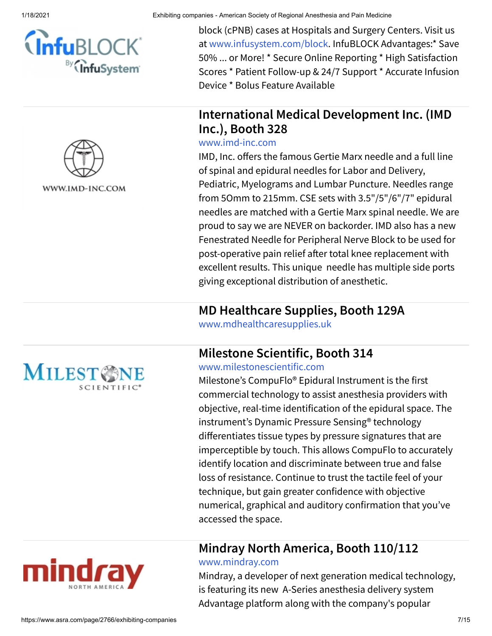



block (cPNB) cases at Hospitals and Surgery Centers. Visit us at [www.infusystem.com/block](http://www.infusystem.com/block). InfuBLOCK Advantages:\* Save 50% ... or More! \* Secure Online Reporting \* High Satisfaction Scores \* Patient Follow-up & 24/7 Support \* Accurate Infusion Device \* Bolus Feature Available

#### **International Medical Development Inc. (IMD Inc.), Booth 328**

#### [www.imd-inc.com](http://www.imd-inc.com/)

IMD, Inc. offers the famous Gertie Marx needle and a full line of spinal and epidural needles for Labor and Delivery, Pediatric, Myelograms and Lumbar Puncture. Needles range from 5Omm to 215mm. CSE sets with 3.5"/5"/6"/7" epidural needles are matched with a Gertie Marx spinal needle. We are proud to say we are NEVER on backorder. IMD also has a new Fenestrated Needle for Peripheral Nerve Block to be used for post-operative pain relief after total knee replacement with excellent results. This unique needle has multiple side ports giving exceptional distribution of anesthetic.

#### **MD Healthcare Supplies, Booth 129A**

[www.mdhealthcaresupplies.uk](http://www.mdhealthcaresupplies.uk/)

#### **Milestone Scientific, Booth 314**

[www.milestonescientific.com](http://www.milestonescientific.com/)

Milestone's CompuFlo® Epidural Instrument is the first commercial technology to assist anesthesia providers with objective, real-time identification of the epidural space. The instrument's Dynamic Pressure Sensing® technology differentiates tissue types by pressure signatures that are imperceptible by touch. This allows CompuFlo to accurately identify location and discriminate between true and false loss of resistance. Continue to trust the tactile feel of your technique, but gain greater confidence with objective numerical, graphical and auditory confirmation that you've accessed the space.

#### **Mindray North America, Booth 110/112**

#### [www.mindray.com](http://www.mindray.com/)

Mindray, a developer of next generation medical technology, is featuring its new A-Series anesthesia delivery system Advantage platform along with the company's popular



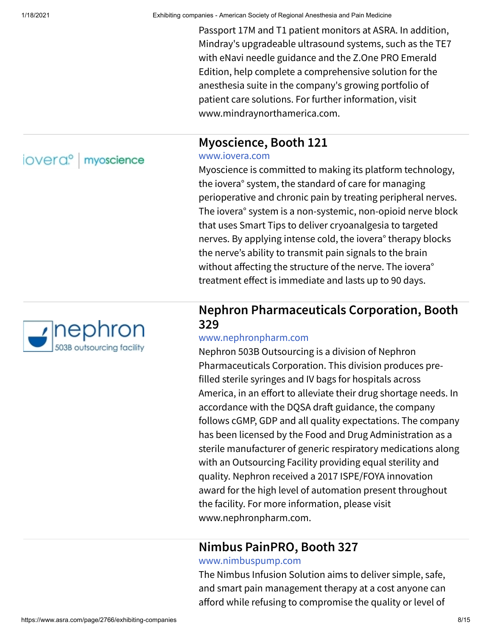Passport 17M and T1 patient monitors at ASRA. In addition, Mindray's upgradeable ultrasound systems, such as the TE7 with eNavi needle guidance and the Z.One PRO Emerald Edition, help complete a comprehensive solution for the anesthesia suite in the company's growing portfolio of patient care solutions. For further information, visit www.mindraynorthamerica.com.

#### **Myoscience, Booth 121**

#### [www.iovera.com](http://www.iovera.com/)

Myoscience is committed to making its platform technology, the iovera° system, the standard of care for managing perioperative and chronic pain by treating peripheral nerves. The iovera° system is a non-systemic, non-opioid nerve block that uses Smart Tips to deliver cryoanalgesia to targeted nerves. By applying intense cold, the iovera° therapy blocks the nerve's ability to transmit pain signals to the brain without affecting the structure of the nerve. The iovera<sup>°</sup> treatment effect is immediate and lasts up to 90 days.

#### **Nephron Pharmaceuticals Corporation, Booth 329**

#### [www.nephronpharm.com](http://www.nephronpharm.com/)

Nephron 503B Outsourcing is a division of Nephron Pharmaceuticals Corporation. This division produces prefilled sterile syringes and IV bags for hospitals across America, in an effort to alleviate their drug shortage needs. In accordance with the DQSA draft guidance, the company follows cGMP, GDP and all quality expectations. The company has been licensed by the Food and Drug Administration as a sterile manufacturer of generic respiratory medications along with an Outsourcing Facility providing equal sterility and quality. Nephron received a 2017 ISPE/FOYA innovation award for the high level of automation present throughout the facility. For more information, please visit www.nephronpharm.com.

#### **Nimbus PainPRO, Booth 327**

#### [www.nimbuspump.com](http://www.nimbuspump.com/)

The Nimbus Infusion Solution aims to deliver simple, safe, and smart pain management therapy at a cost anyone can afford while refusing to compromise the quality or level of

iovera<sup>o</sup> myoscience

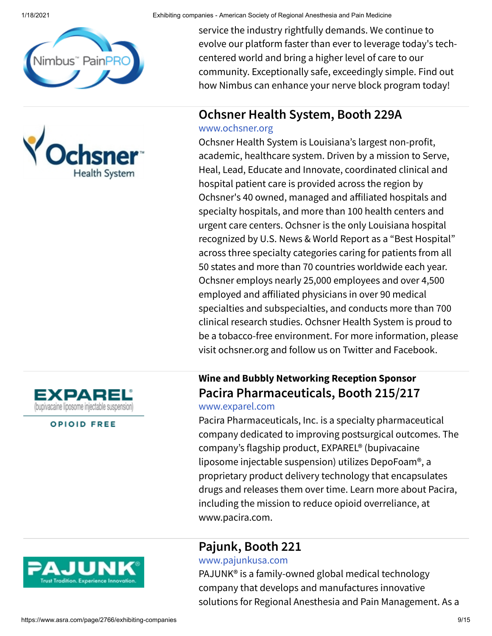





service the industry rightfully demands. We continue to evolve our platform faster than ever to leverage today's techcentered world and bring a higher level of care to our community. Exceptionally safe, exceedingly simple. Find out how Nimbus can enhance your nerve block program today!

#### **Ochsner Health System, Booth 229A**

#### [www.ochsner.org](http://www.ochsner.org/)

Ochsner Health System is Louisiana's largest non-profit, academic, healthcare system. Driven by a mission to Serve, Heal, Lead, Educate and Innovate, coordinated clinical and hospital patient care is provided across the region by Ochsner's 40 owned, managed and affiliated hospitals and specialty hospitals, and more than 100 health centers and urgent care centers. Ochsner is the only Louisiana hospital recognized by U.S. News & World Report as a "Best Hospital" across three specialty categories caring for patients from all 50 states and more than 70 countries worldwide each year. Ochsner employs nearly 25,000 employees and over 4,500 employed and affiliated physicians in over 90 medical specialties and subspecialties, and conducts more than 700 clinical research studies. Ochsner Health System is proud to be a tobacco-free environment. For more information, please visit ochsner.org and follow us on Twitter and Facebook.

#### **Wine and Bubbly Networking Reception Sponsor Pacira Pharmaceuticals, Booth 215/217** [www.exparel.com](http://www.exparel.com/)

Pacira Pharmaceuticals, Inc. is a specialty pharmaceutical company dedicated to improving postsurgical outcomes. The company's flagship product, EXPAREL® (bupivacaine liposome injectable suspension) utilizes DepoFoam®, a proprietary product delivery technology that encapsulates drugs and releases them over time. Learn more about Pacira, including the mission to reduce opioid overreliance, at www.pacira.com.

#### **Pajunk, Booth 221**

#### [www.pajunkusa.com](http://www.pajunkusa.com/)

PAJUNK® is a family-owned global medical technology company that develops and manufactures innovative solutions for Regional Anesthesia and Pain Management. As a



#### **OPIOID FREE**

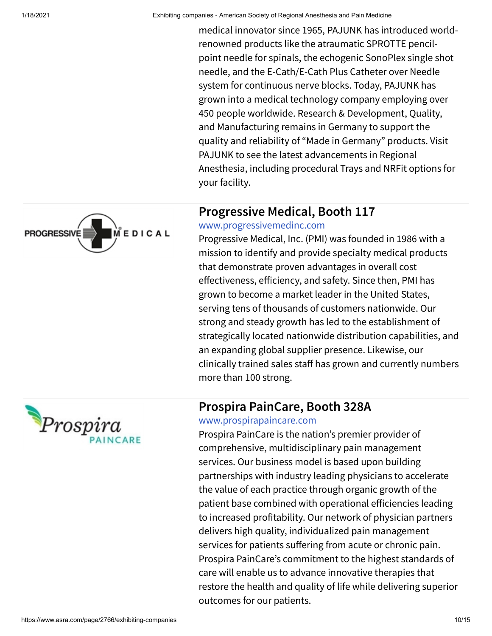medical innovator since 1965, PAJUNK has introduced worldrenowned products like the atraumatic SPROTTE pencilpoint needle for spinals, the echogenic SonoPlex single shot needle, and the E-Cath/E-Cath Plus Catheter over Needle system for continuous nerve blocks. Today, PAJUNK has grown into a medical technology company employing over 450 people worldwide. Research & Development, Quality, and Manufacturing remains in Germany to support the quality and reliability of "Made in Germany" products. Visit PAJUNK to see the latest advancements in Regional Anesthesia, including procedural Trays and NRFit options for your facility.

#### **Progressive Medical, Booth 117**

#### [www.progressivemedinc.com](http://www.progressivemedinc.com/)

Progressive Medical, Inc. (PMI) was founded in 1986 with a mission to identify and provide specialty medical products that demonstrate proven advantages in overall cost effectiveness, efficiency, and safety. Since then, PMI has grown to become a market leader in the United States, serving tens of thousands of customers nationwide. Our strong and steady growth has led to the establishment of strategically located nationwide distribution capabilities, and an expanding global supplier presence. Likewise, our clinically trained sales staff has grown and currently numbers more than 100 strong.

#### **Prospira PainCare, Booth 328A**



Prospira PainCare is the nation's premier provider of comprehensive, multidisciplinary pain management services. Our business model is based upon building partnerships with industry leading physicians to accelerate the value of each practice through organic growth of the patient base combined with operational efficiencies leading to increased profitability. Our network of physician partners delivers high quality, individualized pain management services for patients suffering from acute or chronic pain. Prospira PainCare's commitment to the highest standards of care will enable us to advance innovative therapies that restore the health and quality of life while delivering superior outcomes for our patients.



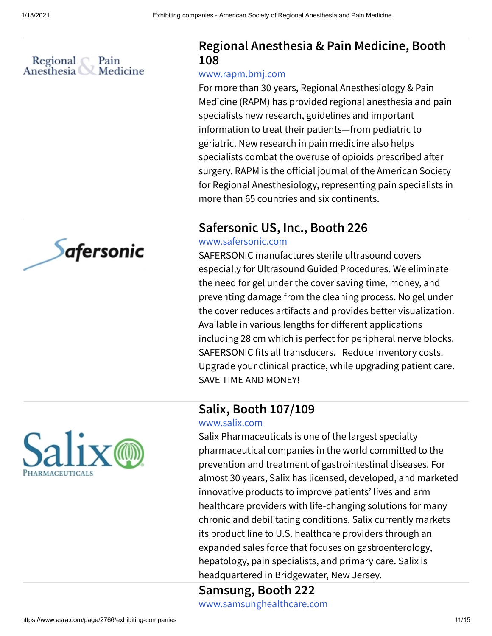

#### **Regional Anesthesia & Pain Medicine, Booth 108**

#### [www.rapm.bmj.com](http://www.rapm.bmj.com/)

For more than 30 years, Regional Anesthesiology & Pain Medicine (RAPM) has provided regional anesthesia and pain specialists new research, guidelines and important information to treat their patients—from pediatric to geriatric. New research in pain medicine also helps specialists combat the overuse of opioids prescribed after surgery. RAPM is the official journal of the American Society for Regional Anesthesiology, representing pain specialists in more than 65 countries and six continents.

#### **Safersonic US, Inc., Booth 226**

#### [www.safersonic.com](http://www.safersonic.com/)

SAFERSONIC manufactures sterile ultrasound covers especially for Ultrasound Guided Procedures. We eliminate the need for gel under the cover saving time, money, and preventing damage from the cleaning process. No gel under the cover reduces artifacts and provides better visualization. Available in various lengths for different applications including 28 cm which is perfect for peripheral nerve blocks. SAFERSONIC fits all transducers. Reduce Inventory costs. Upgrade your clinical practice, while upgrading patient care. SAVE TIME AND MONEY!

#### **Salix, Booth 107/109**

#### [www.salix.com](http://www.salix.com/)

Salix Pharmaceuticals is one of the largest specialty pharmaceutical companies in the world committed to the prevention and treatment of gastrointestinal diseases. For almost 30 years, Salix has licensed, developed, and marketed innovative products to improve patients' lives and arm healthcare providers with life-changing solutions for many chronic and debilitating conditions. Salix currently markets its product line to U.S. healthcare providers through an expanded sales force that focuses on gastroenterology, hepatology, pain specialists, and primary care. Salix is headquartered in Bridgewater, New Jersey.

## **Samsung, Booth 222**

[www.samsunghealthcare.com](http://www.samsunghealthcare.com/)



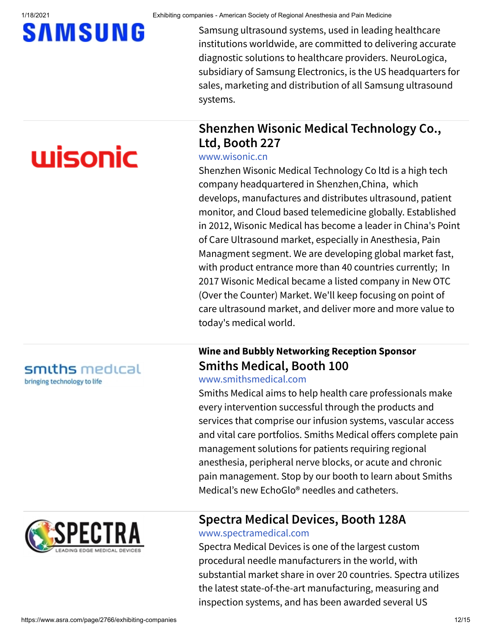## **SAMSUNG**

# wisonic

Samsung ultrasound systems, used in leading healthcare institutions worldwide, are committed to delivering accurate diagnostic solutions to healthcare providers. NeuroLogica, subsidiary of Samsung Electronics, is the US headquarters for sales, marketing and distribution of all Samsung ultrasound systems.

#### **Shenzhen Wisonic Medical Technology Co., Ltd, Booth 227**

#### [www.wisonic.cn](http://www.wisonic.cn/)

Shenzhen Wisonic Medical Technology Co ltd is a high tech company headquartered in Shenzhen,China, which develops, manufactures and distributes ultrasound, patient monitor, and Cloud based telemedicine globally. Established in 2012, Wisonic Medical has become a leader in China's Point of Care Ultrasound market, especially in Anesthesia, Pain Managment segment. We are developing global market fast, with product entrance more than 40 countries currently; In 2017 Wisonic Medical became a listed company in New OTC (Over the Counter) Market. We'll keep focusing on point of care ultrasound market, and deliver more and more value to today's medical world.

#### **Wine and Bubbly Networking Reception Sponsor Smiths Medical, Booth 100**

#### [www.smithsmedical.com](http://www.smithsmedical.com/)

Smiths Medical aims to help health care professionals make every intervention successful through the products and services that comprise our infusion systems, vascular access and vital care portfolios. Smiths Medical offers complete pain management solutions for patients requiring regional anesthesia, peripheral nerve blocks, or acute and chronic pain management. Stop by our booth to learn about Smiths Medical's new EchoGlo® needles and catheters.



smiths medical

bringing technology to life

#### **Spectra Medical Devices, Booth 128A** [www.spectramedical.com](http://www.spectramedical.com/)

Spectra Medical Devices is one of the largest custom procedural needle manufacturers in the world, with substantial market share in over 20 countries. Spectra utilizes the latest state-of-the-art manufacturing, measuring and inspection systems, and has been awarded several US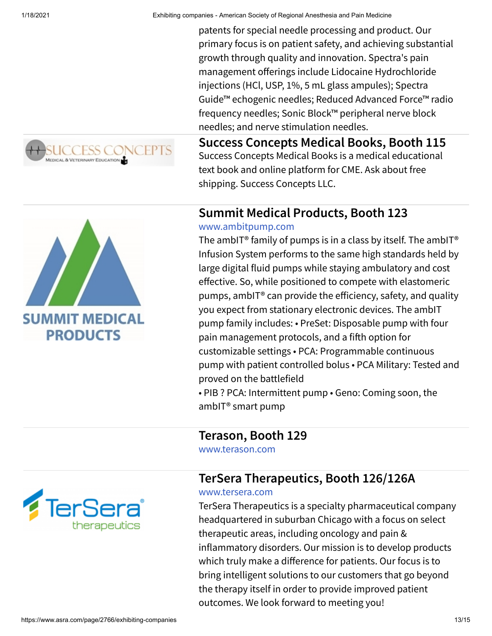



patents for special needle processing and product. Our primary focus is on patient safety, and achieving substantial growth through quality and innovation. Spectra's pain management offerings include Lidocaine Hydrochloride injections (HCl, USP, 1%, 5 mL glass ampules); Spectra Guide™ echogenic needles; Reduced Advanced Force™ radio frequency needles; Sonic Block™ peripheral nerve block needles; and nerve stimulation needles.

**Success Concepts Medical Books, Booth 115** Success Concepts Medical Books is a medical educational text book and online platform for CME. Ask about free shipping. Success Concepts LLC.

#### **Summit Medical Products, Booth 123**

#### [www.ambitpump.com](http://www.ambitpump.com/)

The ambIT<sup>®</sup> family of pumps is in a class by itself. The ambIT<sup>®</sup> Infusion System performs to the same high standards held by large digital fluid pumps while staying ambulatory and cost effective. So, while positioned to compete with elastomeric pumps, ambIT<sup>®</sup> can provide the efficiency, safety, and quality you expect from stationary electronic devices. The ambIT pump family includes: • PreSet: Disposable pump with four pain management protocols, and a fifth option for customizable settings • PCA: Programmable continuous pump with patient controlled bolus • PCA Military: Tested and proved on the battlefield

• PIB ? PCA: Intermittent pump • Geno: Coming soon, the ambIT® smart pump

**Terason, Booth 129**

[www.terason.com](http://www.terason.com/)

#### **TerSera Therapeutics, Booth 126/126A**

#### [www.tersera.com](http://www.tersera.com/)

TerSera Therapeutics is a specialty pharmaceutical company headquartered in suburban Chicago with a focus on select therapeutic areas, including oncology and pain & inflammatory disorders. Our mission is to develop products which truly make a difference for patients. Our focus is to bring intelligent solutions to our customers that go beyond the therapy itself in order to provide improved patient outcomes. We look forward to meeting you!

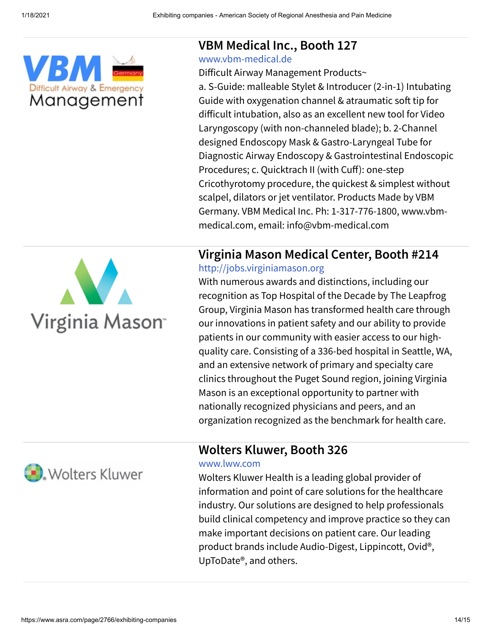

#### **VBM Medical Inc., Booth 127**

#### [www.vbm-medical.de](http://www.vbm-medical.de/)

Difficult Airway Management Products~

a. S-Guide: malleable Stylet & Introducer (2-in-1) Intubating Guide with oxygenation channel & atraumatic soft tip for difficult intubation, also as an excellent new tool for Video Laryngoscopy (with non-channeled blade); b. 2-Channel designed Endoscopy Mask & Gastro-Laryngeal Tube for Diagnostic Airway Endoscopy & Gastrointestinal Endoscopic Procedures; c. Quicktrach II (with Cuff): one-step Cricothyrotomy procedure, the quickest & simplest without scalpel, dilators or jet ventilator. Products Made by VBM Germany. VBM Medical Inc. Ph: 1-317-776-1800, www.vbmmedical.com, email: info@vbm-medical.com

# Virginia Mason<sup>-</sup>

### **Virginia Mason Medical Center, Booth #214**

[http://jobs.virginiamason.org](http://jobs.virginiamason.org/)

With numerous awards and distinctions, including our recognition as Top Hospital of the Decade by The Leapfrog Group, Virginia Mason has transformed health care through our innovations in patient safety and our ability to provide patients in our community with easier access to our highquality care. Consisting of a 336-bed hospital in Seattle, WA, and an extensive network of primary and specialty care clinics throughout the Puget Sound region, joining Virginia Mason is an exceptional opportunity to partner with nationally recognized physicians and peers, and an organization recognized as the benchmark for health care.



#### **Wolters Kluwer, Booth 326**

#### [www.lww.com](http://www.lww.com/)

Wolters Kluwer Health is a leading global provider of information and point of care solutions for the healthcare industry. Our solutions are designed to help professionals build clinical competency and improve practice so they can make important decisions on patient care. Our leading product brands include Audio-Digest, Lippincott, Ovid®, UpToDate®, and others.